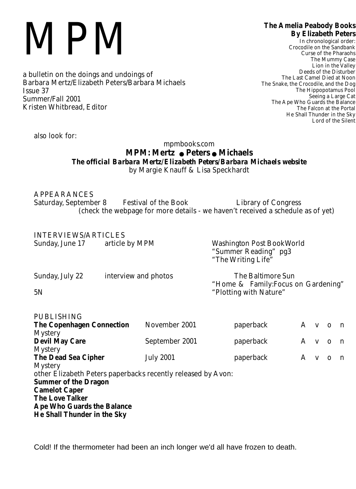## MPM

a bulletin on the doings and undoings of Barbara Mertz/Elizabeth Peters/Barbara Michaels Issue 37 Summer/Fall 2001 Kristen Whitbread, Editor

## **The Amelia Peabody Books By Elizabeth Peters**

In chronological order: Crocodile on the Sandbank Curse of the Pharaohs The Mummy Case Lion in the Valley Deeds of the Disturber The Last Camel Died at Noon The Snake, the Crocodile, and the Dog The Hippopotamus Pool Seeing a Large Cat The Ape Who Guards the Balance The Falcon at the Portal He Shall Thunder in the Sky Lord of the Silent

*also look for:*

## mpmbooks.com **MPM: Mertz** ! **Peters** ! **Michaels** *The official Barbara Mertz/Elizabeth Peters/Barbara Michaels website* by Margie Knauff & Lisa Speckhardt

APPEARANCES Saturday, September 8 Festival of the Book Library of Congress (check the webpage for more details - we haven't received a schedule as of yet)

| <b>INTERVIEWS/ARTICLES</b><br>Sunday, June 17 | article by MPM       | <b>Washington Post BookWorld</b><br>"Summer Reading" pg3<br>"The Writing Life" |
|-----------------------------------------------|----------------------|--------------------------------------------------------------------------------|
| Sunday, July 22                               | interview and photos | <b>The Baltimore Sun</b><br>"Home & Family: Focus on Gardening"                |
| 5N                                            |                      | "Plotting with Nature"                                                         |

| <b>PUBLISHING</b>                                            |                  |           |  |         |  |
|--------------------------------------------------------------|------------------|-----------|--|---------|--|
| <b>The Copenhagen Connection</b>                             | November 2001    | paperback |  | A v o n |  |
| <b>Mystery</b>                                               |                  |           |  |         |  |
| <b>Devil May Care</b>                                        | September 2001   | paperback |  | A v o n |  |
| <b>Mystery</b>                                               |                  |           |  |         |  |
| <b>The Dead Sea Cipher</b>                                   | <b>July 2001</b> | paperback |  | A v o n |  |
| <b>Mystery</b>                                               |                  |           |  |         |  |
| other Elizabeth Peters paperbacks recently released by Avon: |                  |           |  |         |  |
| <b>Summer of the Dragon</b>                                  |                  |           |  |         |  |
| <b>Camelot Caper</b>                                         |                  |           |  |         |  |
| <b>The Love Talker</b>                                       |                  |           |  |         |  |
| <b>Ape Who Guards the Balance</b>                            |                  |           |  |         |  |
| <b>He Shall Thunder in the Sky</b>                           |                  |           |  |         |  |

Cold! If the thermometer had been an inch longer we'd all have frozen to death.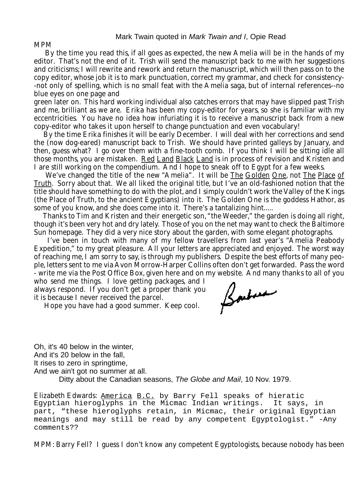MPM

By the time you read this, if all goes as expected, the new Amelia will be in the hands of my editor. That's not the end of it. Trish will send the manuscript back to me with her suggestions and criticisms; I will rewrite and rework and return the manuscript, which will then pass on to the copy editor, whose job it is to mark punctuation, correct my grammar, and check for consistency- -not only of spelling, which is no small feat with the Amelia saga, but of internal references--no blue eyes on one page and

green later on. This hard working individual also catches errors that may have slipped past Trish and me, brilliant as we are. Erika has been my copy-editor for years, so she is familiar with my eccentricities. You have no idea how infuriating it is to receive a manuscript back from a new copy-editor who takes it upon herself to change punctuation and even vocabulary!

By the time Erika finishes it will be early December. I will deal with her corrections and send the (now dog-eared) manuscript back to Trish. We should have printed galleys by January, and then, guess what? I go over them with a fine-tooth comb. If you think I will be sitting idle all those months, you are mistaken. Red Land Black Land is in process of revision and Kristen and I are still working on the compendium. And I hope to sneak off to Egypt for a few weeks.

We've changed the title of the new "Amelia". It will be The Golden One, not The Place of Truth. Sorry about that. We all liked the original title, but I've an old-fashioned notion that the title should have something to do with the plot, and I simply couldn't work the Valley of the Kings (the Place of Truth, to the ancient Egyptians) into it. The Golden One is the goddess Hathor, as some of you know, and she does come into it. There's a tantalizing hint.....

Thanks to Tim and Kristen and their energetic son, "the Weeder," the garden is doing all right, though it's been very hot and dry lately. Those of you on the net may want to check the Baltimore Sun homepage. They did a very nice story about the garden, with some elegant photographs.

I've been in touch with many of my fellow travellers from last year's "Amelia Peabody Expedition," to my great pleasure. All your letters are appreciated and enjoyed. The worst way of reaching me, I am sorry to say, is through my publishers. Despite the best efforts of many people, letters sent to me via Avon Morrow-Harper Collins often don't get forwarded. Pass the word - write me via the Post Office Box, given here and on my website. And many thanks to all of you

who send me things. I love getting packages, and I always respond. If you don't get a proper thank you it is because I never received the parcel.

Hope you have had a good summer. Keep cool.

Barbara

Oh, it's 40 below in the winter, And it's 20 below in the fall, It rises to zero in springtime, And we ain't got no summer at all. Ditty about the Canadian seasons, *The Globe and Mail*, 10 Nov. 1979.

Elizabeth Edwards: America B.C. by Barry Fell speaks of hieratic Egyptian hieroglyphs in the Micmac Indian writings. It says, in part, "these hieroglyphs retain, in Micmac, their original Egyptian meanings and may still be read by any competent Egyptologist." -Any comments??

MPM: Barry Fell? I guess I don't know any competent Egyptologists, because nobody has been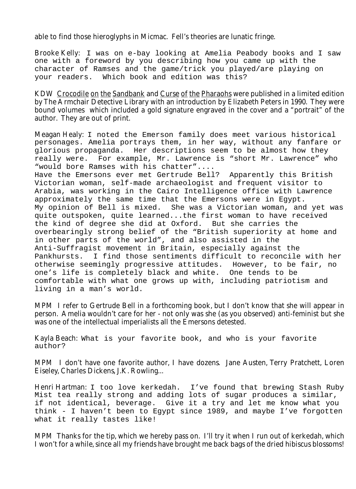able to find those hieroglyphs in Micmac. Fell's theories are lunatic fringe.

Brooke Kelly: I was on e-bay looking at Amelia Peabody books and I saw one with a foreword by you describing how you came up with the character of Ramses and the game/trick you played/are playing on your readers. Which book and edition was this?

KDW Crocodile on the Sandbank and Curse of the Pharaohs were published in a limited edition by The Armchair Detective Library with an introduction by Elizabeth Peters in 1990. They were bound volumes which included a gold signature engraved in the cover and a "portrait" of the author. They are out of print.

Meagan Healy: I noted the Emerson family does meet various historical personages. Amelia portrays them, in her way, without any fanfare or glorious propaganda. Her descriptions seem to be almost how they really were. For example, Mr. Lawrence is "short Mr. Lawrence" who "would bore Ramses with his chatter".... Have the Emersons ever met Gertrude Bell? Apparently this British Victorian woman, self-made archaeologist and frequent visitor to Arabia, was working in the Cairo Intelligence office with Lawrence approximately the same time that the Emersons were in Egypt. My opinion of Bell is mixed. She was a Victorian woman, and yet was quite outspoken, quite learned...the first woman to have received the kind of degree she did at Oxford. But she carries the overbearingly strong belief of the "British superiority at home and in other parts of the world", and also assisted in the Anti-Suffragist movement in Britain, especially against the Pankhursts. I find those sentiments difficult to reconcile with her otherwise seemingly progressive attitudes. However, to be fair, no one's life is completely black and white. One tends to be comfortable with what one grows up with, including patriotism and living in a man's world.

MPM I refer to Gertrude Bell in a forthcoming book, but I don't know that she will appear in person. Amelia wouldn't care for her - not only was she (as you observed) anti-feminist but she was one of the intellectual imperialists all the Emersons detested.

Kayla Beach: What is your favorite book, and who is your favorite author?

MPM I don't have one favorite author, I have dozens. Jane Austen, Terry Pratchett, Loren Eiseley, Charles Dickens, J.K. Rowling...

Henri Hartman: I too love kerkedah. I've found that brewing Stash Ruby Mist tea really strong and adding lots of sugar produces a similar, if not identical, beverage. Give it a try and let me know what you think - I haven't been to Egypt since 1989, and maybe I've forgotten what it really tastes like!

MPM Thanks for the tip, which we hereby pass on. I'll try it when I run out of kerkedah, which I won't for a while, since all my friends have brought me back bags of the dried hibiscus blossoms!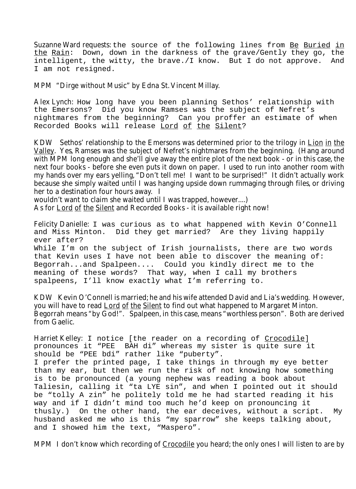Suzanne Ward requests: the source of the following lines from Be Buried in the Rain: Down, down in the darkness of the grave/Gently they go, the intelligent, the witty, the brave./I know. But I do not approve. And I am not resigned.

MPM "Dirge without Music" by Edna St. Vincent Millay.

Alex Lynch: How long have you been planning Sethos' relationship with the Emersons? Did you know Ramses was the subject of Nefret's nightmares from the beginning? Can you proffer an estimate of when Recorded Books will release Lord of the Silent?

KDW Sethos' relationship to the Emersons was determined prior to the trilogy in Lion in the Valley. Yes, Ramses was the subject of Nefret's nightmares from the beginning. (Hang around with MPM long enough and she'll give away the entire plot of the next book - or in this case, the next four books - before she even puts it down on paper. I used to run into another room with my hands over my ears yelling, "Don't tell me! I want to be surprised!" It didn't actually work because she simply waited until I was hanging upside down rummaging through files, or driving her to a destination four hours away. I

wouldn't want to claim she waited until I was trapped, however....)

As for Lord of the Silent and Recorded Books - it is available right now!

Felicity Danielle: I was curious as to what happened with Kevin O'Connell and Miss Minton. Did they get married? Are they living happily ever after?

While I'm on the subject of Irish journalists, there are two words that Kevin uses I have not been able to discover the meaning of: Begorrah...and Spalpeen.... Could you kindly direct me to the meaning of these words? That way, when I call my brothers spalpeens, I'll know exactly what I'm referring to.

KDW Kevin O'Connell is married; he and his wife attended David and Lia's wedding. However, you will have to read Lord of the Silent to find out what happened to Margaret Minton. Begorrah means "by God!". Spalpeen, in this case, means "worthless person". Both are derived from Gaelic.

Harriet Kelley: I notice [the reader on a recording of Crocodile] pronounces it "PEE BAH di" whereas my sister is quite sure it should be "PEE bdi" rather like "puberty". I prefer the printed page, I take things in through my eye better than my ear, but then we run the risk of not knowing how something is to be pronounced (a young nephew was reading a book about Taliesin, calling it "ta LYE sin", and when I pointed out it should be "tolly A zin" he politely told me he had started reading it his way and if I didn't mind too much he'd keep on pronouncing it thusly.) On the other hand, the ear deceives, without a script. My husband asked me who is this "my sparrow" she keeps talking about, and I showed him the text, "Maspero".

MPM I don't know which recording of Crocodile you heard; the only ones I will listen to are by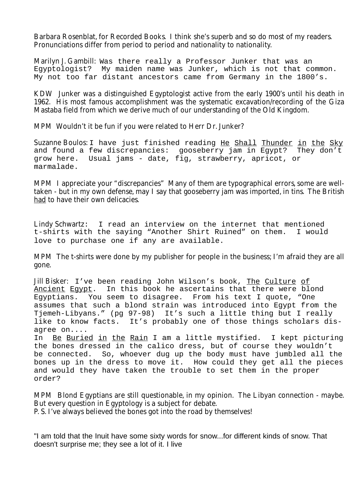Barbara Rosenblat, for Recorded Books. I think she's superb and so do most of my readers. Pronunciations differ from period to period and nationality to nationality.

Marilyn J. Gambill: Was there really a Professor Junker that was an Egyptologist? My maiden name was Junker, which is not that common. My not too far distant ancestors came from Germany in the 1800's.

KDW Junker was a distinguished Egyptologist active from the early 1900's until his death in 1962. His most famous accomplishment was the systematic excavation/recording of the Giza Mastaba field from which we derive much of our understanding of the Old Kingdom.

MPM Wouldn't it be fun if you were related to Herr Dr. Junker?

Suzanne Boulos: I have just finished reading He Shall Thunder in the Sky and found a few discrepancies: gooseberry jam in Egypt? They don't grow here. Usual jams - date, fig, strawberry, apricot, or marmalade.

MPM I appreciate your "discrepancies" Many of them are typographical errors, some are welltaken - but in my own defense, may I say that gooseberry jam was imported, in tins. The British had to have their own delicacies.

Lindy Schwartz: I read an interview on the internet that mentioned t-shirts with the saying "Another Shirt Ruined" on them. I would love to purchase one if any are available.

MPM The t-shirts were done by my publisher for people in the business; I'm afraid they are all gone.

Jill Bisker: I've been reading John Wilson's book, The Culture of Ancient Egypt. In this book he ascertains that there were blond Egyptians. You seem to disagree. From his text I quote, "One assumes that such a blond strain was introduced into Egypt from the Tjemeh-Libyans." (pg 97-98) It's such a little thing but I really like to know facts. It's probably one of those things scholars disagree on....

In Be Buried in the Rain I am a little mystified. I kept picturing the bones dressed in the calico dress, but of course they wouldn't be connected. So, whoever dug up the body must have jumbled all the bones up in the dress to move it. How could they get all the pieces and would they have taken the trouble to set them in the proper order?

MPM Blond Egyptians are still questionable, in my opinion. The Libyan connection - maybe. But every question in Egyptology is a subject for debate. P. S. I've always believed the bones got into the road by themselves!

"I am told that the Inuit have some sixty words for snow...for different kinds of snow. That doesn't surprise me; they see a lot of it. I live